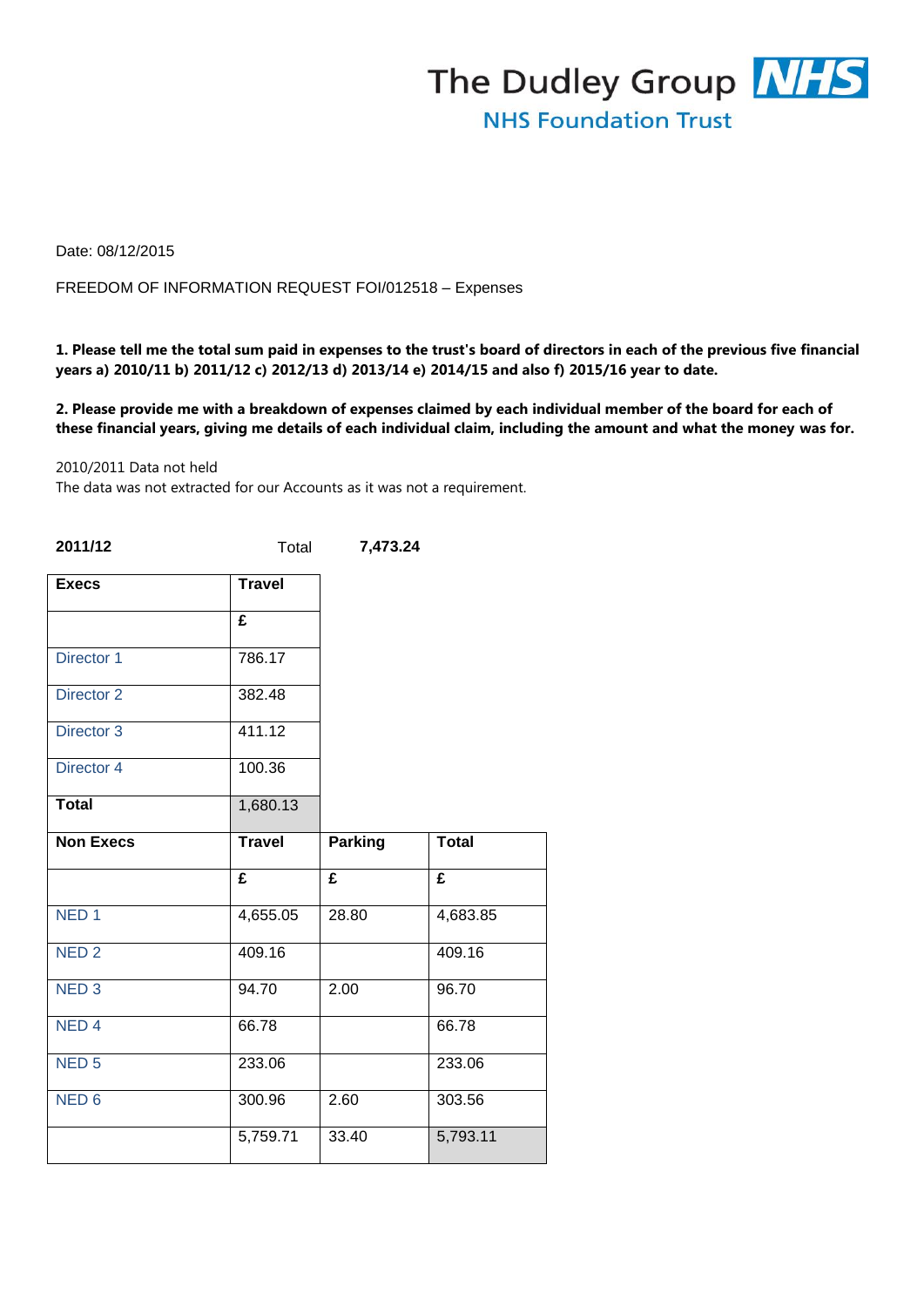

Date: 08/12/2015

FREEDOM OF INFORMATION REQUEST FOI/012518 – Expenses

## **1. Please tell me the total sum paid in expenses to the trust's board of directors in each of the previous five financial years a) 2010/11 b) 2011/12 c) 2012/13 d) 2013/14 e) 2014/15 and also f) 2015/16 year to date.**

## **2. Please provide me with a breakdown of expenses claimed by each individual member of the board for each of these financial years, giving me details of each individual claim, including the amount and what the money was for.**

2010/2011 Data not held

The data was not extracted for our Accounts as it was not a requirement.

| 2011/12          | Total         |                | 7,473.24     |  |  |
|------------------|---------------|----------------|--------------|--|--|
| <b>Execs</b>     | <b>Travel</b> |                |              |  |  |
|                  | £             |                |              |  |  |
| Director 1       | 786.17        |                |              |  |  |
| Director 2       | 382.48        |                |              |  |  |
| Director 3       | 411.12        |                |              |  |  |
| Director 4       | 100.36        |                |              |  |  |
| <b>Total</b>     | 1,680.13      |                |              |  |  |
| <b>Non Execs</b> | <b>Travel</b> | <b>Parking</b> | <b>Total</b> |  |  |
|                  | £             | £              | £            |  |  |
| NED <sub>1</sub> | 4,655.05      | 28.80          | 4,683.85     |  |  |
| NED <sub>2</sub> | 409.16        |                | 409.16       |  |  |
| NED <sub>3</sub> | 94.70         | 2.00           | 96.70        |  |  |
| NED <sub>4</sub> | 66.78         |                | 66.78        |  |  |
| NED <sub>5</sub> | 233.06        |                | 233.06       |  |  |
| NED <sub>6</sub> | 300.96        | 2.60           | 303.56       |  |  |
|                  | 5,759.71      | 33.40          | 5,793.11     |  |  |
|                  |               |                |              |  |  |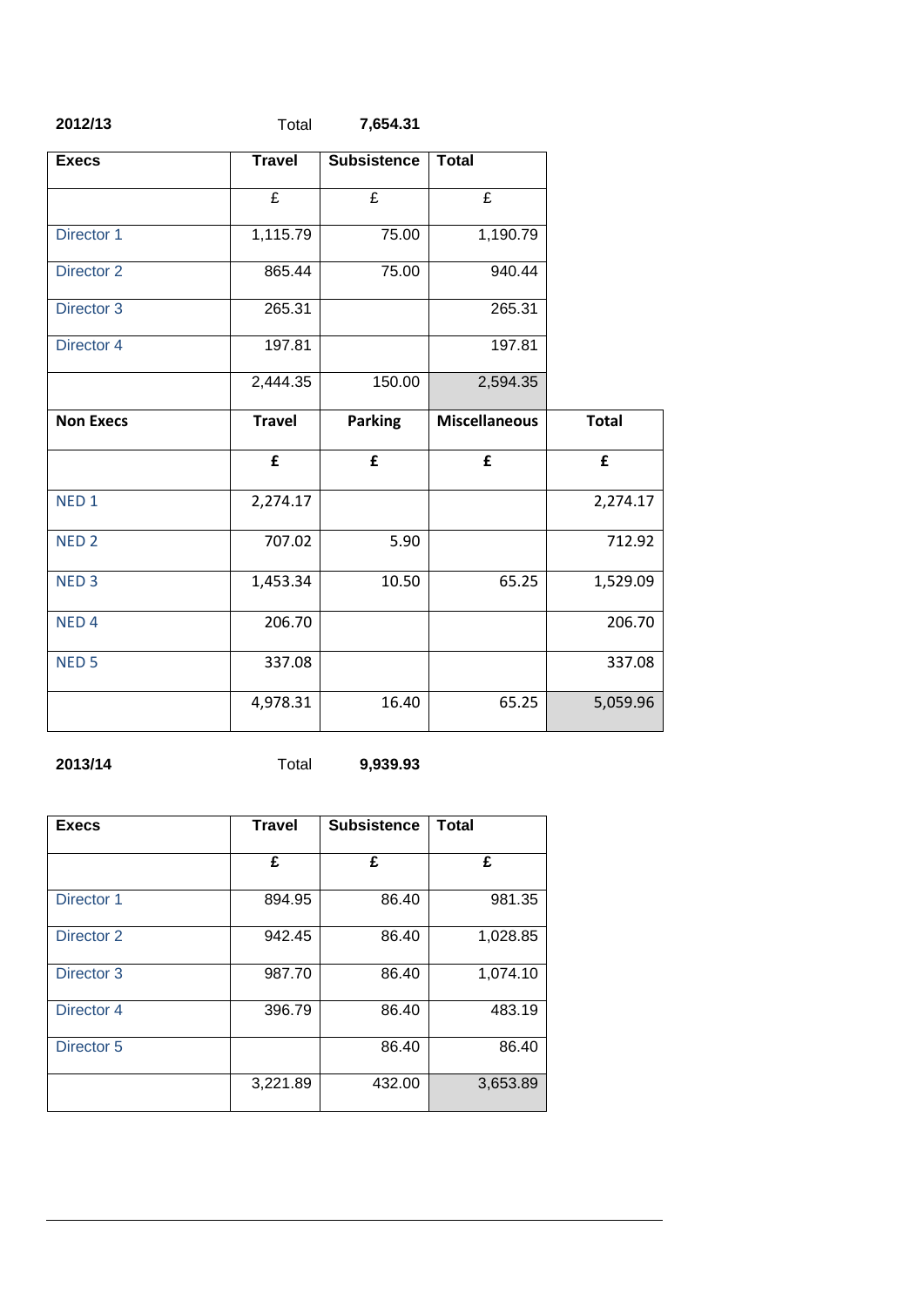| 2012/13 | Total | 7,654.31 |
|---------|-------|----------|
|---------|-------|----------|

| <b>Travel</b> | <b>Subsistence</b> | <b>Total</b>         |                            |
|---------------|--------------------|----------------------|----------------------------|
| £             | £                  | £                    |                            |
| 1,115.79      | 75.00              | 1,190.79             |                            |
| 865.44        | 75.00              | 940.44               |                            |
| 265.31        |                    | 265.31               |                            |
| 197.81        |                    | 197.81               |                            |
| 2,444.35      | 150.00             | 2,594.35             |                            |
| <b>Travel</b> | <b>Parking</b>     | <b>Miscellaneous</b> | <b>Total</b>               |
| £             | £                  | £                    | £                          |
| 2,274.17      |                    |                      | 2,274.17                   |
| 707.02        | 5.90               |                      | 712.92                     |
| 1,453.34      | 10.50              | 65.25                | 1,529.09                   |
| 206.70        |                    |                      | 206.70                     |
| 337.08        |                    |                      | 337.08                     |
|               |                    |                      | 5,059.96                   |
|               |                    |                      | 65.25<br>4,978.31<br>16.40 |

**2013/14** Total **9,939.93**

| <b>Execs</b>          | <b>Travel</b> | <b>Subsistence</b> | <b>Total</b> |
|-----------------------|---------------|--------------------|--------------|
|                       | £             | £                  | £            |
| Director 1            | 894.95        | 86.40              | 981.35       |
| Director 2            | 942.45        | 86.40              | 1,028.85     |
| Director <sub>3</sub> | 987.70        | 86.40              | 1,074.10     |
| Director 4            | 396.79        | 86.40              | 483.19       |
| Director <sub>5</sub> |               | 86.40              | 86.40        |
|                       | 3,221.89      | 432.00             | 3,653.89     |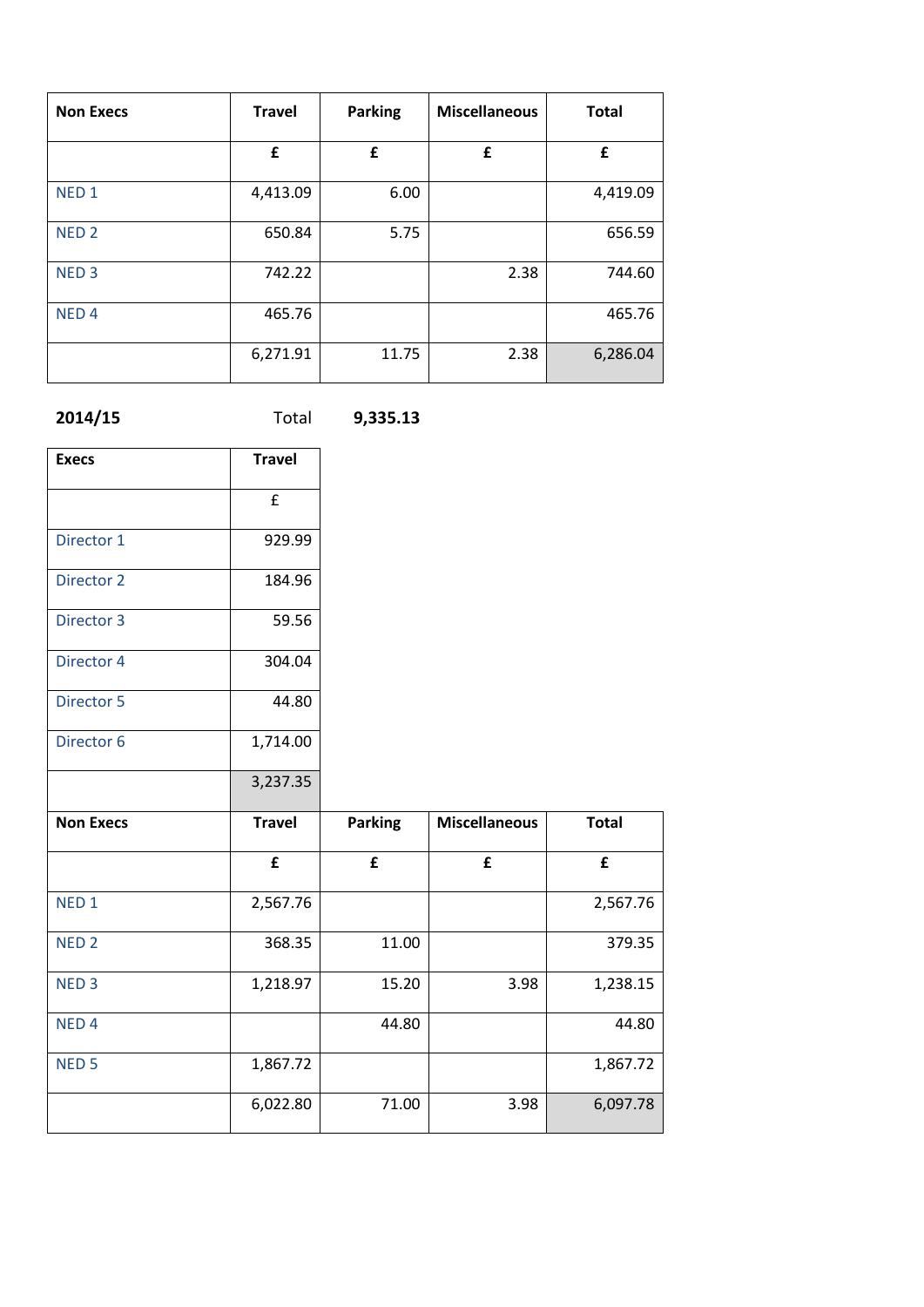| <b>Non Execs</b> | <b>Travel</b> | <b>Parking</b> | <b>Miscellaneous</b> | <b>Total</b> |
|------------------|---------------|----------------|----------------------|--------------|
|                  | £             | £              | £                    | £            |
| NED <sub>1</sub> | 4,413.09      | 6.00           |                      | 4,419.09     |
| NED <sub>2</sub> | 650.84        | 5.75           |                      | 656.59       |
| NED <sub>3</sub> | 742.22        |                | 2.38                 | 744.60       |
| NED <sub>4</sub> | 465.76        |                |                      | 465.76       |
|                  | 6,271.91      | 11.75          | 2.38                 | 6,286.04     |

**2014/15** Total **9,335.13**

| <b>Execs</b>     | <b>Travel</b>      |                |                      |              |
|------------------|--------------------|----------------|----------------------|--------------|
|                  | $\pmb{\mathsf{f}}$ |                |                      |              |
| Director 1       | 929.99             |                |                      |              |
| Director 2       | 184.96             |                |                      |              |
| Director 3       | 59.56              |                |                      |              |
| Director 4       | 304.04             |                |                      |              |
| Director 5       | 44.80              |                |                      |              |
| Director 6       | 1,714.00           |                |                      |              |
|                  | 3,237.35           |                |                      |              |
| <b>Non Execs</b> | <b>Travel</b>      | <b>Parking</b> | <b>Miscellaneous</b> | <b>Total</b> |
|                  | £                  | £              | $\mathbf f$          | £            |
| NED <sub>1</sub> | 2,567.76           |                |                      | 2,567.76     |
| NED <sub>2</sub> | 368.35             | 11.00          |                      | 379.35       |
| NED <sub>3</sub> | 1,218.97           | 15.20          | 3.98                 | 1,238.15     |
| NED <sub>4</sub> |                    | 44.80          |                      | 44.80        |
| NED <sub>5</sub> | 1,867.72           |                |                      | 1,867.72     |
|                  | 6,022.80           | 71.00          | 3.98                 | 6,097.78     |